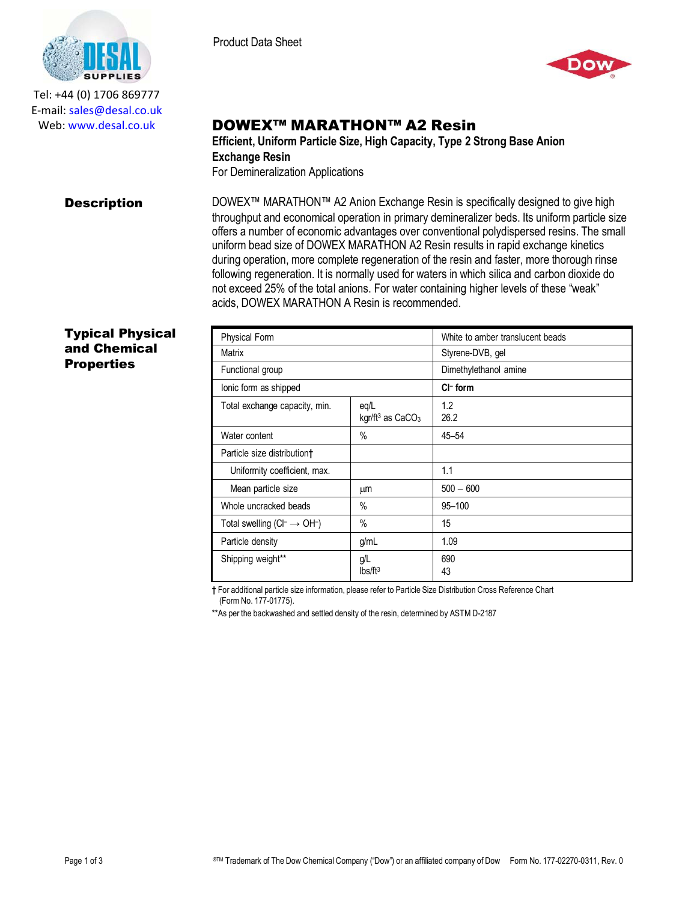

Tel: +44 (0) 1706 869777 E‐mail: sales@desal.co.uk Web: www.desal.co.uk



# DOWEX™ MARATHON™ A2 Resin

**Efficient, Uniform Particle Size, High Capacity, Type 2 Strong Base Anion Exchange Resin** For Demineralization Applications

**Description** DOWEX™ MARATHON™ A2 Anion Exchange Resin is specifically designed to give high throughput and economical operation in primary demineralizer beds. Its uniform particle size offers a number of economic advantages over conventional polydispersed resins. The small uniform bead size of DOWEX MARATHON A2 Resin results in rapid exchange kinetics during operation, more complete regeneration of the resin and faster, more thorough rinse following regeneration. It is normally used for waters in which silica and carbon dioxide do not exceed 25% of the total anions. For water containing higher levels of these "weak" acids, DOWEX MARATHON A Resin is recommended.

## Typical Physical and Chemical **Properties**

| <b>Physical Form</b>                     |                                         | White to amber translucent beads |
|------------------------------------------|-----------------------------------------|----------------------------------|
| Matrix                                   |                                         | Styrene-DVB, gel                 |
| Functional group                         |                                         | Dimethylethanol amine            |
| lonic form as shipped                    |                                         | $Cl^-$ form                      |
| Total exchange capacity, min.            | eq/L<br>kgr/ft $3$ as CaCO <sub>3</sub> | 1.2<br>26.2                      |
| Water content                            | $\frac{0}{0}$                           | $45 - 54$                        |
| Particle size distribution <sup>+</sup>  |                                         |                                  |
| Uniformity coefficient, max.             |                                         | 1.1                              |
| Mean particle size                       | μm                                      | $500 - 600$                      |
| Whole uncracked beads                    | $\%$                                    | 95-100                           |
| Total swelling $(Cl^- \rightarrow OH^-)$ | $\frac{0}{0}$                           | 15                               |
| Particle density                         | g/mL                                    | 1.09                             |
| Shipping weight**                        | g/L<br>Ibs/ft <sup>3</sup>              | 690<br>43                        |

**†** For additional particle size information, please refer to Particle Size Distribution Cross Reference Chart (Form No. 177-01775).

\*\*As per the backwashed and settled density of the resin, determined by ASTM D-2187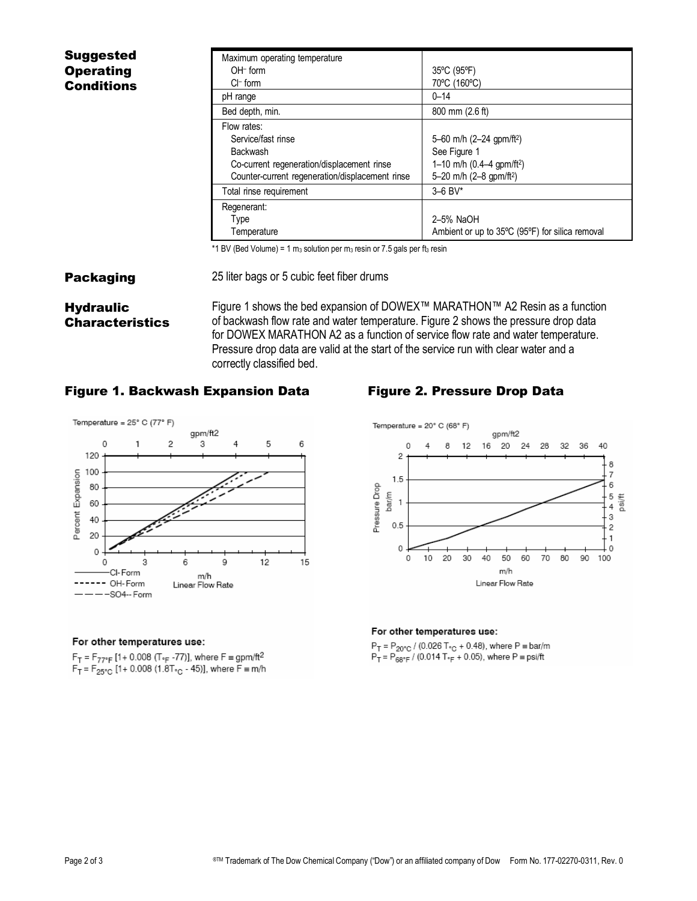| <b>Suggested</b>  | Maximum operating temperature                                                                                                                         |                                                                                                                                        |
|-------------------|-------------------------------------------------------------------------------------------------------------------------------------------------------|----------------------------------------------------------------------------------------------------------------------------------------|
| <b>Operating</b>  | $OH-$ form                                                                                                                                            | 35°C (95°F)                                                                                                                            |
| <b>Conditions</b> | $Cl^-$ form                                                                                                                                           | 70°C (160°C)                                                                                                                           |
|                   | pH range                                                                                                                                              | $0 - 14$                                                                                                                               |
|                   | Bed depth, min.                                                                                                                                       | 800 mm (2.6 ft)                                                                                                                        |
|                   | Flow rates:<br>Service/fast rinse<br><b>Backwash</b><br>Co-current regeneration/displacement rinse<br>Counter-current regeneration/displacement rinse | 5–60 m/h $(2–24$ qpm/ft <sup>2</sup> )<br>See Figure 1<br>1-10 m/h (0.4-4 gpm/ft <sup>2</sup> )<br>5-20 m/h (2-8 gpm/ft <sup>2</sup> ) |
|                   | Total rinse requirement                                                                                                                               | $3 - 6$ BV*                                                                                                                            |
|                   | Regenerant:<br>Type<br>Temperature                                                                                                                    | 2-5% NaOH<br>Ambient or up to 35°C (95°F) for silica removal                                                                           |

\*1 BV (Bed Volume) = 1 m<sub>3</sub> solution per m<sub>3</sub> resin or 7.5 gals per ft<sub>3</sub> resin

## **Packaging** 25 liter bags or 5 cubic feet fiber drums

Characteristics Figure 1 shows the bed expansion of DOWEX™ MARATHON™ A2 Resin as a function of backwash flow rate and water temperature. Figure 2 shows the pressure drop data for DOWEX MARATHON A2 as a function of service flow rate and water temperature. Pressure drop data are valid at the start of the service run with clear water and a correctly classified bed.

## Figure 1. Backwash Expansion Data Figure 2. Pressure Drop Data

**Hydraulic** 



### For other temperatures use:

 $F_T = F_{77°F}$  [1 + 0.008 (T<sub>°F</sub> -77)], where  $F = gpm/ft^2$  $F_T = F_{25^{\circ}C}$  [1+ 0.008 (1.8T<sub>°C</sub> - 45)], where  $F = m/h$ 



## For other temperatures use:

 $P_T = P_{20^{\circ}C}$  / (0.026 T<sub>°C</sub> + 0.48), where P = bar/m  $P_T = P_{68^\circ F} = 7$  (0.014 T<sub>°F</sub> + 0.05), where P = psi/ft